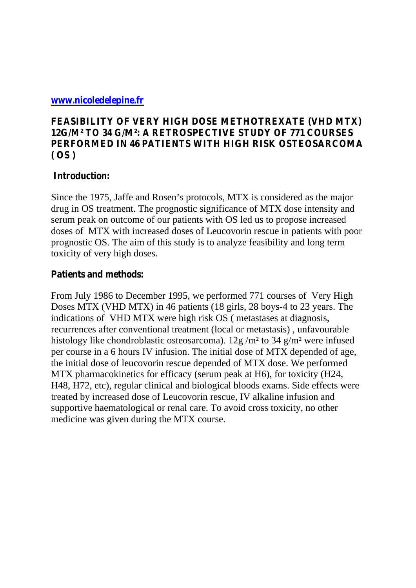#### **[www.nicoledelepine.fr](http://www.nicoledelepine.fr/)**

# **FEASIBILITY OF VERY HIGH DOSE METHOTREXATE (VHD MTX) 12G/M² TO 34 G/M²: A RETROSPECTIVE STUDY OF 771 COURSES PERFORMED IN 46 PATIENTS WITH HIGH RISK OSTEOSARCOMA ( OS )**

# **Introduction:**

Since the 1975, Jaffe and Rosen's protocols, MTX is considered as the major drug in OS treatment. The prognostic significance of MTX dose intensity and serum peak on outcome of our patients with OS led us to propose increased doses of MTX with increased doses of Leucovorin rescue in patients with poor prognostic OS. The aim of this study is to analyze feasibility and long term toxicity of very high doses.

#### **Patients and methods:**

From July 1986 to December 1995, we performed 771 courses of Very High Doses MTX (VHD MTX) in 46 patients (18 girls, 28 boys-4 to 23 years. The indications of VHD MTX were high risk OS ( metastases at diagnosis, recurrences after conventional treatment (local or metastasis) , unfavourable histology like chondroblastic osteosarcoma). 12g /m² to 34 g/m² were infused per course in a 6 hours IV infusion. The initial dose of MTX depended of age, the initial dose of leucovorin rescue depended of MTX dose. We performed MTX pharmacokinetics for efficacy (serum peak at H6), for toxicity (H24, H48, H72, etc), regular clinical and biological bloods exams. Side effects were treated by increased dose of Leucovorin rescue, IV alkaline infusion and supportive haematological or renal care. To avoid cross toxicity, no other medicine was given during the MTX course.